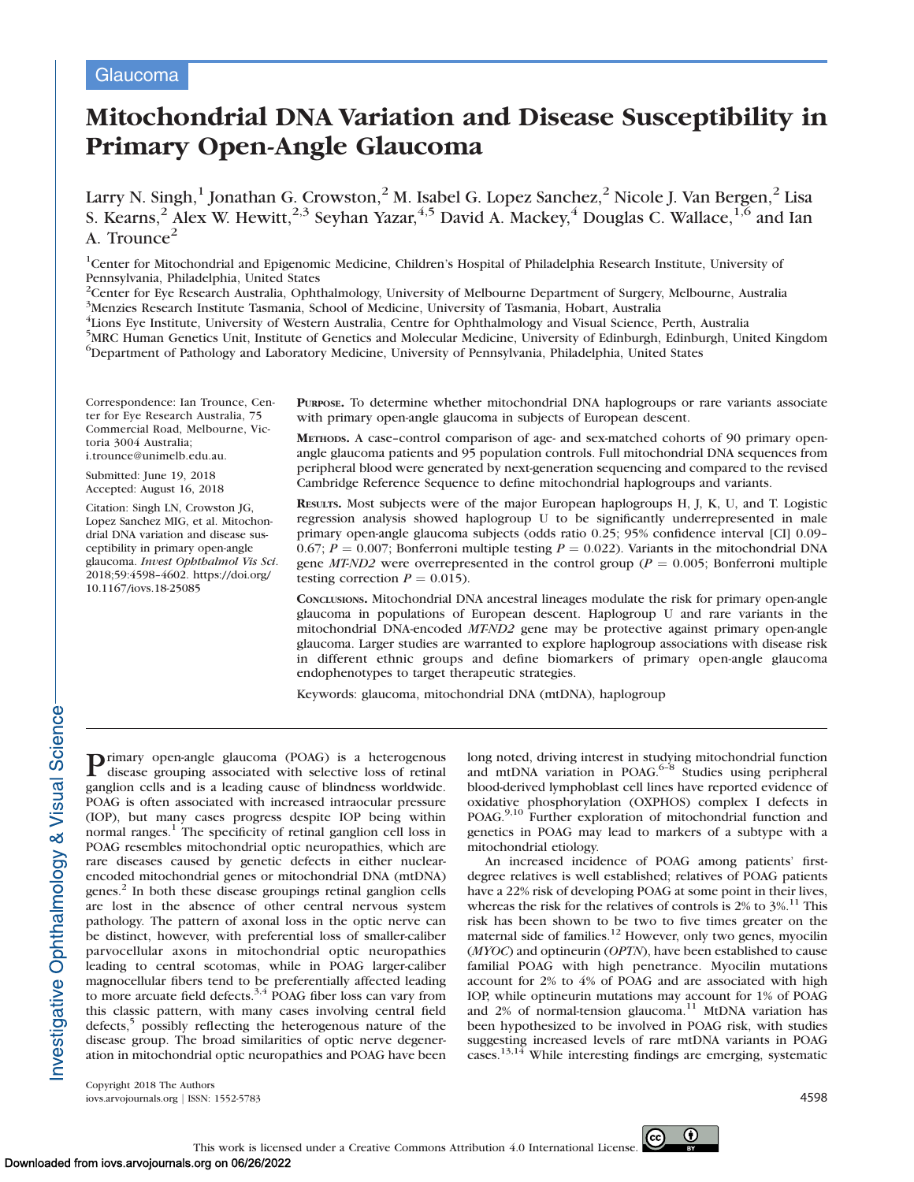# **Glaucoma**

# Mitochondrial DNA Variation and Disease Susceptibility in Primary Open-Angle Glaucoma

Larry N. Singh, $^1$  Jonathan G. Crowston, $^2$  M. Isabel G. Lopez Sanchez, $^2$  Nicole J. Van Bergen, $^2$  Lisa S. Kearns,<sup>2</sup> Alex W. Hewitt,<sup>2,3</sup> Seyhan Yazar,<sup>4,5</sup> David A. Mackey,<sup>4</sup> Douglas C. Wallace,<sup>1,6</sup> and Ian A. Trounce $^2$ 

<sup>1</sup>Center for Mitochondrial and Epigenomic Medicine, Children's Hospital of Philadelphia Research Institute, University of Pennsylvania, Philadelphia, United States

<sup>2</sup>Center for Eye Research Australia, Ophthalmology, University of Melbourne Department of Surgery, Melbourne, Australia <sup>3</sup>Menzies Research Institute Tasmania, School of Medicine, University of Tasmania, Hobart, Australia

4 Lions Eye Institute, University of Western Australia, Centre for Ophthalmology and Visual Science, Perth, Australia

<sup>5</sup>MRC Human Genetics Unit, Institute of Genetics and Molecular Medicine, University of Edinburgh, Edinburgh, United Kingdom 6 Department of Pathology and Laboratory Medicine, University of Pennsylvania, Philadelphia, United States

Correspondence: Ian Trounce, Center for Eye Research Australia, 75 Commercial Road, Melbourne, Victoria 3004 Australia; i.trounce@unimelb.edu.au.

Submitted: June 19, 2018 Accepted: August 16, 2018

Citation: Singh LN, Crowston JG, Lopez Sanchez MIG, et al. Mitochondrial DNA variation and disease susceptibility in primary open-angle glaucoma. Invest Ophthalmol Vis Sci. 2018;59:4598–4602. https://doi.org/ 10.1167/iovs.18-25085

PURPOSE. To determine whether mitochondrial DNA haplogroups or rare variants associate with primary open-angle glaucoma in subjects of European descent.

METHODS. A case–control comparison of age- and sex-matched cohorts of 90 primary openangle glaucoma patients and 95 population controls. Full mitochondrial DNA sequences from peripheral blood were generated by next-generation sequencing and compared to the revised Cambridge Reference Sequence to define mitochondrial haplogroups and variants.

RESULTS. Most subjects were of the major European haplogroups H, J, K, U, and T. Logistic regression analysis showed haplogroup U to be significantly underrepresented in male primary open-angle glaucoma subjects (odds ratio 0.25; 95% confidence interval [CI] 0.09– 0.67;  $P = 0.007$ ; Bonferroni multiple testing  $P = 0.022$ ). Variants in the mitochondrial DNA gene *MT-ND2* were overrepresented in the control group ( $P = 0.005$ ; Bonferroni multiple testing correction  $P = 0.015$ ).

CONCLUSIONS. Mitochondrial DNA ancestral lineages modulate the risk for primary open-angle glaucoma in populations of European descent. Haplogroup U and rare variants in the mitochondrial DNA-encoded MT-ND2 gene may be protective against primary open-angle glaucoma. Larger studies are warranted to explore haplogroup associations with disease risk in different ethnic groups and define biomarkers of primary open-angle glaucoma endophenotypes to target therapeutic strategies.

Keywords: glaucoma, mitochondrial DNA (mtDNA), haplogroup

**P**rimary open-angle glaucoma (POAG) is a heterogenous disease grouping associated with selective loss of retinal ganglion cells and is a leading cause of blindness worldwide. POAG is often associated with increased intraocular pressure (IOP), but many cases progress despite IOP being within normal ranges.<sup>1</sup> The specificity of retinal ganglion cell loss in POAG resembles mitochondrial optic neuropathies, which are rare diseases caused by genetic defects in either nuclearencoded mitochondrial genes or mitochondrial DNA (mtDNA)  $genes.<sup>2</sup>$  In both these disease groupings retinal ganglion cells are lost in the absence of other central nervous system pathology. The pattern of axonal loss in the optic nerve can be distinct, however, with preferential loss of smaller-caliber parvocellular axons in mitochondrial optic neuropathies leading to central scotomas, while in POAG larger-caliber magnocellular fibers tend to be preferentially affected leading to more arcuate field defects. $3,4$  POAG fiber loss can vary from this classic pattern, with many cases involving central field defects,<sup>5</sup> possibly reflecting the heterogenous nature of the disease group. The broad similarities of optic nerve degeneration in mitochondrial optic neuropathies and POAG have been

long noted, driving interest in studying mitochondrial function and mtDNA variation in POAG.<sup>6–8</sup> Studies using peripheral blood-derived lymphoblast cell lines have reported evidence of oxidative phosphorylation (OXPHOS) complex I defects in POAG.9,10 Further exploration of mitochondrial function and genetics in POAG may lead to markers of a subtype with a mitochondrial etiology.

An increased incidence of POAG among patients' firstdegree relatives is well established; relatives of POAG patients have a 22% risk of developing POAG at some point in their lives, whereas the risk for the relatives of controls is 2% to 3%.<sup>11</sup> This risk has been shown to be two to five times greater on the maternal side of families. $12$  However, only two genes, myocilin (MYOC) and optineurin (OPTN), have been established to cause familial POAG with high penetrance. Myocilin mutations account for 2% to 4% of POAG and are associated with high IOP, while optineurin mutations may account for 1% of POAG and  $2\%$  of normal-tension glaucoma.<sup>11</sup> MtDNA variation has been hypothesized to be involved in POAG risk, with studies suggesting increased levels of rare mtDNA variants in POAG cases.<sup>13,14</sup> While interesting findings are emerging, systematic

Copyright 2018 The Authors iovs.arvojournals.org j ISSN: 1552-5783 4598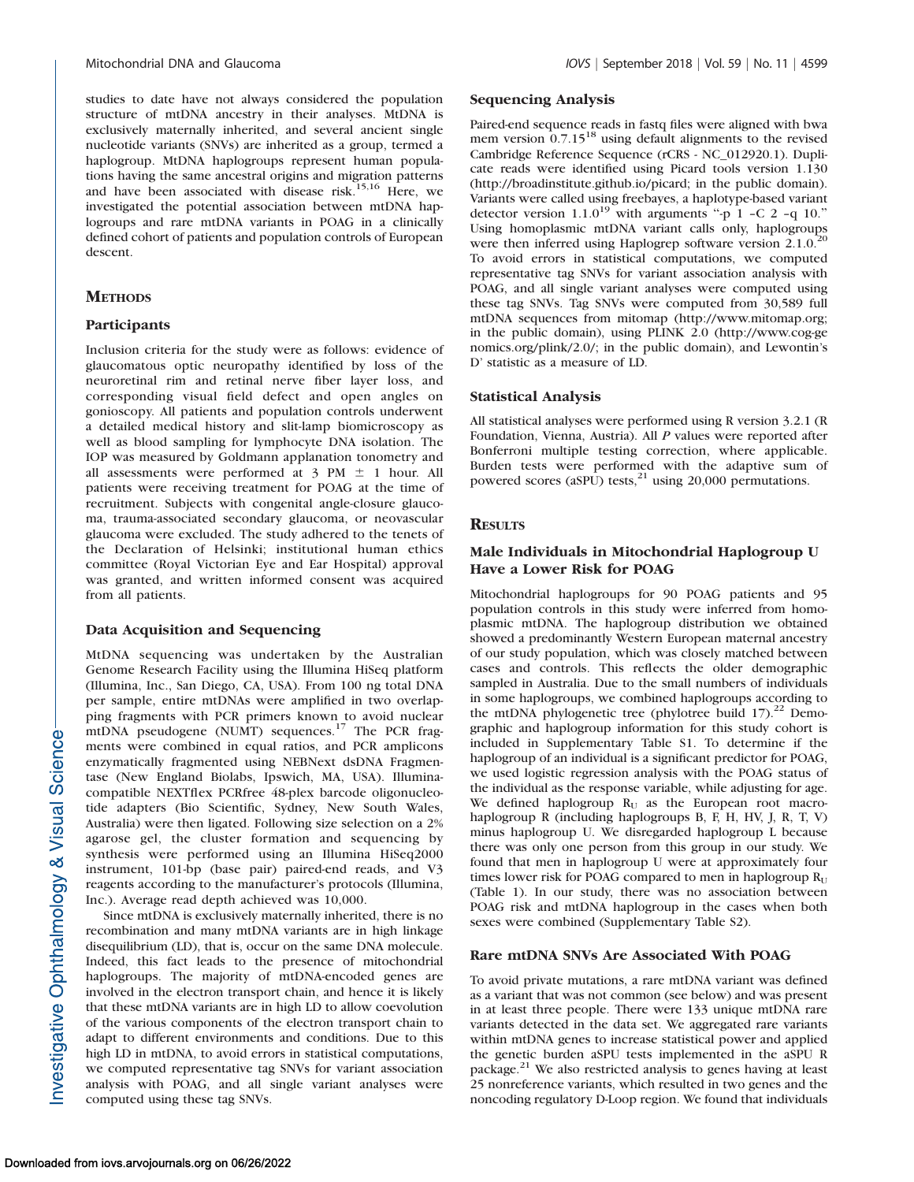studies to date have not always considered the population structure of mtDNA ancestry in their analyses. MtDNA is exclusively maternally inherited, and several ancient single nucleotide variants (SNVs) are inherited as a group, termed a haplogroup. MtDNA haplogroups represent human populations having the same ancestral origins and migration patterns and have been associated with disease risk.<sup>15,16</sup> Here, we investigated the potential association between mtDNA haplogroups and rare mtDNA variants in POAG in a clinically defined cohort of patients and population controls of European descent.

# **METHODS**

#### Participants

Inclusion criteria for the study were as follows: evidence of glaucomatous optic neuropathy identified by loss of the neuroretinal rim and retinal nerve fiber layer loss, and corresponding visual field defect and open angles on gonioscopy. All patients and population controls underwent a detailed medical history and slit-lamp biomicroscopy as well as blood sampling for lymphocyte DNA isolation. The IOP was measured by Goldmann applanation tonometry and all assessments were performed at  $3 \text{ PM } \pm 1$  hour. All patients were receiving treatment for POAG at the time of recruitment. Subjects with congenital angle-closure glaucoma, trauma-associated secondary glaucoma, or neovascular glaucoma were excluded. The study adhered to the tenets of the Declaration of Helsinki; institutional human ethics committee (Royal Victorian Eye and Ear Hospital) approval was granted, and written informed consent was acquired from all patients.

#### Data Acquisition and Sequencing

MtDNA sequencing was undertaken by the Australian Genome Research Facility using the Illumina HiSeq platform (Illumina, Inc., San Diego, CA, USA). From 100 ng total DNA per sample, entire mtDNAs were amplified in two overlapping fragments with PCR primers known to avoid nuclear mtDNA pseudogene (NUMT) sequences.<sup>17</sup> The PCR fragments were combined in equal ratios, and PCR amplicons enzymatically fragmented using NEBNext dsDNA Fragmentase (New England Biolabs, Ipswich, MA, USA). Illuminacompatible NEXTflex PCRfree 48-plex barcode oligonucleotide adapters (Bio Scientific, Sydney, New South Wales, Australia) were then ligated. Following size selection on a 2% agarose gel, the cluster formation and sequencing by synthesis were performed using an Illumina HiSeq2000 instrument, 101-bp (base pair) paired-end reads, and V3 reagents according to the manufacturer's protocols (Illumina, Inc.). Average read depth achieved was 10,000.

Since mtDNA is exclusively maternally inherited, there is no recombination and many mtDNA variants are in high linkage disequilibrium (LD), that is, occur on the same DNA molecule. Indeed, this fact leads to the presence of mitochondrial haplogroups. The majority of mtDNA-encoded genes are involved in the electron transport chain, and hence it is likely that these mtDNA variants are in high LD to allow coevolution of the various components of the electron transport chain to adapt to different environments and conditions. Due to this high LD in mtDNA, to avoid errors in statistical computations, we computed representative tag SNVs for variant association analysis with POAG, and all single variant analyses were computed using these tag SNVs.

# Sequencing Analysis

Paired-end sequence reads in fastq files were aligned with bwa mem version 0.7.15<sup>18</sup> using default alignments to the revised Cambridge Reference Sequence (rCRS - NC\_012920.1). Duplicate reads were identified using Picard tools version 1.130 (http://broadinstitute.github.io/picard; in the public domain). Variants were called using freebayes, a haplotype-based variant detector version  $1.1.0^{19}$  with arguments "-p 1 -C 2 -q 10." Using homoplasmic mtDNA variant calls only, haplogroups were then inferred using Haplogrep software version  $2.1.0^{20}$ To avoid errors in statistical computations, we computed representative tag SNVs for variant association analysis with POAG, and all single variant analyses were computed using these tag SNVs. Tag SNVs were computed from 30,589 full mtDNA sequences from mitomap (http://www.mitomap.org; in the public domain), using PLINK 2.0 (http://www.cog-ge nomics.org/plink/2.0/; in the public domain), and Lewontin's D' statistic as a measure of LD.

#### Statistical Analysis

All statistical analyses were performed using R version 3.2.1 (R Foundation, Vienna, Austria). All P values were reported after Bonferroni multiple testing correction, where applicable. Burden tests were performed with the adaptive sum of powered scores (aSPU) tests, $^{21}$  using 20,000 permutations.

#### **RESULTS**

### Male Individuals in Mitochondrial Haplogroup U Have a Lower Risk for POAG

Mitochondrial haplogroups for 90 POAG patients and 95 population controls in this study were inferred from homoplasmic mtDNA. The haplogroup distribution we obtained showed a predominantly Western European maternal ancestry of our study population, which was closely matched between cases and controls. This reflects the older demographic sampled in Australia. Due to the small numbers of individuals in some haplogroups, we combined haplogroups according to the mtDNA phylogenetic tree (phylotree build  $17$ ).<sup>22</sup> Demographic and haplogroup information for this study cohort is included in [Supplementary Table S1](https://iovs.arvojournals.org/data/Journals/IOVS/937492/iovs-59-11-09_s01.pdf). To determine if the haplogroup of an individual is a significant predictor for POAG, we used logistic regression analysis with the POAG status of the individual as the response variable, while adjusting for age. We defined haplogroup  $R_U$  as the European root macrohaplogroup R (including haplogroups B, F, H, HV, J, R, T, V) minus haplogroup U. We disregarded haplogroup L because there was only one person from this group in our study. We found that men in haplogroup U were at approximately four times lower risk for POAG compared to men in haplogroup  $R_U$ (Table 1). In our study, there was no association between POAG risk and mtDNA haplogroup in the cases when both sexes were combined ([Supplementary Table S2\)](https://iovs.arvojournals.org/data/Journals/IOVS/937492/iovs-59-11-09_s01.pdf).

#### Rare mtDNA SNVs Are Associated With POAG

To avoid private mutations, a rare mtDNA variant was defined as a variant that was not common (see below) and was present in at least three people. There were 133 unique mtDNA rare variants detected in the data set. We aggregated rare variants within mtDNA genes to increase statistical power and applied the genetic burden aSPU tests implemented in the aSPU R package.<sup>21</sup> We also restricted analysis to genes having at least 25 nonreference variants, which resulted in two genes and the noncoding regulatory D-Loop region. We found that individuals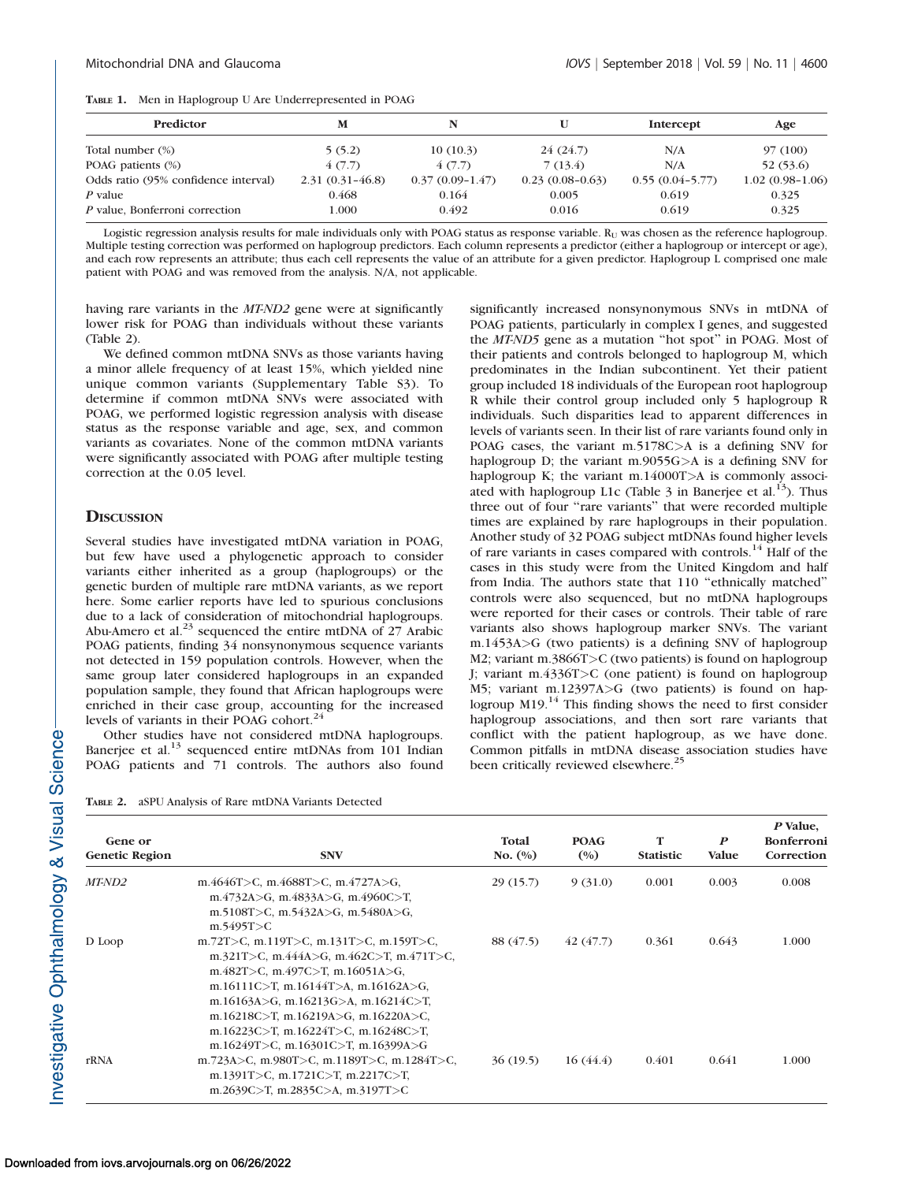| TABLE 1. |  | Men in Haplogroup U Are Underrepresented in POAG |
|----------|--|--------------------------------------------------|
|----------|--|--------------------------------------------------|

| Predictor                            | м                   |                   | U                 | Intercept         | Age               |
|--------------------------------------|---------------------|-------------------|-------------------|-------------------|-------------------|
| Total number (%)                     | 5(5.2)              | 10(10.3)          | 24(24.7)          | N/A               | 97 (100)          |
| POAG patients (%)                    | 4(7.7)              | 4(7.7)            | 7(13.4)           | N/A               | 52 (53.6)         |
| Odds ratio (95% confidence interval) | $2.31(0.31 - 46.8)$ | $0.37(0.09-1.47)$ | $0.23(0.08-0.63)$ | $0.55(0.04-5.77)$ | $1.02(0.98-1.06)$ |
| P value                              | 0.468               | 0.164             | 0.005             | 0.619             | 0.325             |
| P value, Bonferroni correction       | 1.000               | 0.492             | 0.016             | 0.619             | 0.325             |

Logistic regression analysis results for male individuals only with POAG status as response variable.  $R<sub>U</sub>$  was chosen as the reference haplogroup. Multiple testing correction was performed on haplogroup predictors. Each column represents a predictor (either a haplogroup or intercept or age), and each row represents an attribute; thus each cell represents the value of an attribute for a given predictor. Haplogroup L comprised one male patient with POAG and was removed from the analysis. N/A, not applicable.

having rare variants in the MT-ND2 gene were at significantly lower risk for POAG than individuals without these variants (Table 2).

We defined common mtDNA SNVs as those variants having a minor allele frequency of at least 15%, which yielded nine unique common variants ([Supplementary Table S3](https://iovs.arvojournals.org/data/Journals/IOVS/937492/iovs-59-11-09_s01.pdf)). To determine if common mtDNA SNVs were associated with POAG, we performed logistic regression analysis with disease status as the response variable and age, sex, and common variants as covariates. None of the common mtDNA variants were significantly associated with POAG after multiple testing correction at the 0.05 level.

#### **DISCUSSION**

Several studies have investigated mtDNA variation in POAG, but few have used a phylogenetic approach to consider variants either inherited as a group (haplogroups) or the genetic burden of multiple rare mtDNA variants, as we report here. Some earlier reports have led to spurious conclusions due to a lack of consideration of mitochondrial haplogroups. Abu-Amero et al. $^{23}$  sequenced the entire mtDNA of 27 Arabic POAG patients, finding 34 nonsynonymous sequence variants not detected in 159 population controls. However, when the same group later considered haplogroups in an expanded population sample, they found that African haplogroups were enriched in their case group, accounting for the increased levels of variants in their POAG cohort.<sup>24</sup>

Other studies have not considered mtDNA haplogroups. Banerjee et al.<sup>13</sup> sequenced entire mtDNAs from 101 Indian POAG patients and 71 controls. The authors also found

TABLE 2. aSPU Analysis of Rare mtDNA Variants Detected

significantly increased nonsynonymous SNVs in mtDNA of POAG patients, particularly in complex I genes, and suggested the MT-ND5 gene as a mutation ''hot spot'' in POAG. Most of their patients and controls belonged to haplogroup M, which predominates in the Indian subcontinent. Yet their patient group included 18 individuals of the European root haplogroup R while their control group included only 5 haplogroup R individuals. Such disparities lead to apparent differences in levels of variants seen. In their list of rare variants found only in POAG cases, the variant m.5178C>A is a defining SNV for haplogroup D; the variant m.9055G>A is a defining SNV for haplogroup K; the variant m.14000T>A is commonly associated with haplogroup L1c (Table  $3$  in Banerjee et al.<sup>13</sup>). Thus three out of four "rare variants" that were recorded multiple times are explained by rare haplogroups in their population. Another study of 32 POAG subject mtDNAs found higher levels of rare variants in cases compared with controls.<sup>14</sup> Half of the cases in this study were from the United Kingdom and half from India. The authors state that 110 ''ethnically matched'' controls were also sequenced, but no mtDNA haplogroups were reported for their cases or controls. Their table of rare variants also shows haplogroup marker SNVs. The variant m.1453A>G (two patients) is a defining SNV of haplogroup M2; variant m.3866T>C (two patients) is found on haplogroup J; variant m.4336T>C (one patient) is found on haplogroup M5; variant m.12397A>G (two patients) is found on haplogroup M19.<sup>14</sup> This finding shows the need to first consider haplogroup associations, and then sort rare variants that conflict with the patient haplogroup, as we have done. Common pitfalls in mtDNA disease association studies have been critically reviewed elsewhere.<sup>2</sup>

| Gene or<br><b>Genetic Region</b> | <b>SNV</b>                                                                                                                                                                                                                                                                                                             | Total<br>No. $(\%)$ | <b>POAG</b><br>(0/0) | T<br><b>Statistic</b> | $\boldsymbol{P}$<br><b>Value</b> | P Value,<br><b>Bonferroni</b><br>Correction |
|----------------------------------|------------------------------------------------------------------------------------------------------------------------------------------------------------------------------------------------------------------------------------------------------------------------------------------------------------------------|---------------------|----------------------|-----------------------|----------------------------------|---------------------------------------------|
| <i>MT-ND2</i>                    | m.4646T>C, m.4688T>C, m.4727A>G,<br>m.4732A>G, m.4833A>G, m.4960C>T,<br>m.5108T>C, m.5432A>G, m.5480A>G,<br>m.5495T > C                                                                                                                                                                                                | 29(15.7)            | 9(31.0)              | 0.001                 | 0.003                            | 0.008                                       |
| D Loop                           | m.72T>C, m.119T>C, m.131T>C, m.159T>C,<br>m.321T>C, m.444A>G, m.462C>T, m.471T>C,<br>m.482T>C, m.497C>T, m.16051A>G,<br>m.16111C>T, m.16144T>A, m.16162A>G,<br>m.16163A>G, m.16213G>A, m.16214C>T,<br>m.16218C>T, m.16219A>G, m.16220A>C,<br>m.16223C>T, m.16224T>C, m.16248C>T,<br>m.16249T>C, m.16301C>T, m.16399A>G | 88 (47.5)           | 42(47.7)             | 0.361                 | 0.643                            | 1.000                                       |
| rRNA                             | m.723A>C, m.980T>C, m.1189T>C, m.1284T>C,<br>m.1391T>C, m.1721C>T, m.2217C>T,<br>m.2639C>T, m.2835C>A, m.3197T>C                                                                                                                                                                                                       | 36(19.5)            | 16(44.4)             | 0.401                 | 0.641                            | 1.000                                       |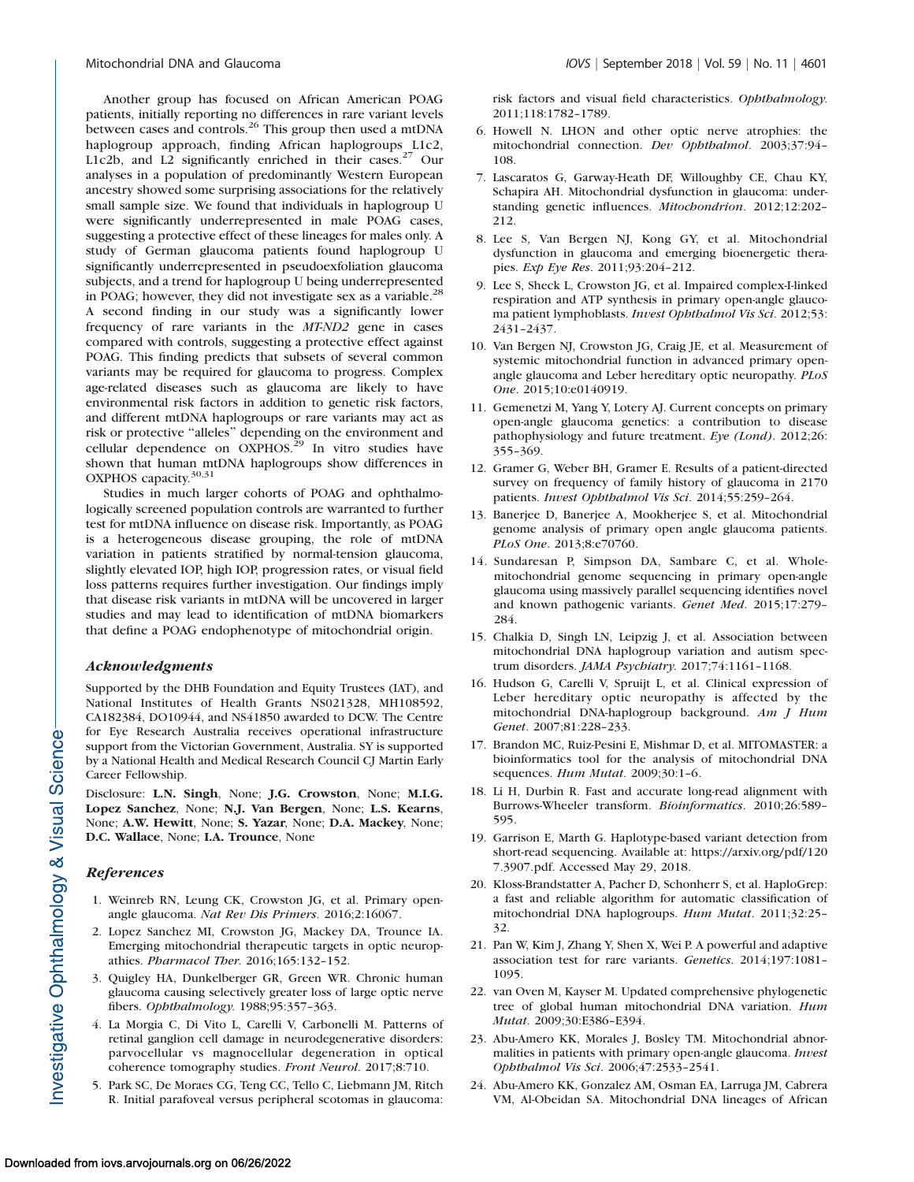Another group has focused on African American POAG patients, initially reporting no differences in rare variant levels between cases and controls.<sup>26</sup> This group then used a mtDNA haplogroup approach, finding African haplogroups L1c2, L1c2b, and L2 significantly enriched in their cases. $27$  Our analyses in a population of predominantly Western European ancestry showed some surprising associations for the relatively small sample size. We found that individuals in haplogroup U were significantly underrepresented in male POAG cases, suggesting a protective effect of these lineages for males only. A study of German glaucoma patients found haplogroup U significantly underrepresented in pseudoexfoliation glaucoma subjects, and a trend for haplogroup U being underrepresented in POAG; however, they did not investigate sex as a variable.<sup>28</sup> A second finding in our study was a significantly lower frequency of rare variants in the MT-ND2 gene in cases compared with controls, suggesting a protective effect against POAG. This finding predicts that subsets of several common variants may be required for glaucoma to progress. Complex age-related diseases such as glaucoma are likely to have environmental risk factors in addition to genetic risk factors, and different mtDNA haplogroups or rare variants may act as risk or protective "alleles" depending on the environment and cellular dependence on OXPHOS.<sup>29</sup> In vitro studies have shown that human mtDNA haplogroups show differences in OXPHOS capacity.<sup>30,31</sup>

Studies in much larger cohorts of POAG and ophthalmologically screened population controls are warranted to further test for mtDNA influence on disease risk. Importantly, as POAG is a heterogeneous disease grouping, the role of mtDNA variation in patients stratified by normal-tension glaucoma, slightly elevated IOP, high IOP, progression rates, or visual field loss patterns requires further investigation. Our findings imply that disease risk variants in mtDNA will be uncovered in larger studies and may lead to identification of mtDNA biomarkers that define a POAG endophenotype of mitochondrial origin.

#### Acknowledgments

Supported by the DHB Foundation and Equity Trustees (IAT), and National Institutes of Health Grants NS021328, MH108592, CA182384, DO10944, and NS41850 awarded to DCW. The Centre for Eye Research Australia receives operational infrastructure support from the Victorian Government, Australia. SY is supported by a National Health and Medical Research Council CJ Martin Early Career Fellowship.

Disclosure: L.N. Singh, None; J.G. Crowston, None; M.I.G. Lopez Sanchez, None; N.J. Van Bergen, None; L.S. Kearns, None; A.W. Hewitt, None; S. Yazar, None; D.A. Mackey, None; D.C. Wallace, None; I.A. Trounce, None

#### References

- 1. Weinreb RN, Leung CK, Crowston JG, et al. Primary openangle glaucoma. Nat Rev Dis Primers. 2016;2:16067.
- 2. Lopez Sanchez MI, Crowston JG, Mackey DA, Trounce IA. Emerging mitochondrial therapeutic targets in optic neuropathies. Pharmacol Ther. 2016;165:132–152.
- 3. Quigley HA, Dunkelberger GR, Green WR. Chronic human glaucoma causing selectively greater loss of large optic nerve fibers. Ophthalmology. 1988;95:357–363.
- 4. La Morgia C, Di Vito L, Carelli V, Carbonelli M. Patterns of retinal ganglion cell damage in neurodegenerative disorders: parvocellular vs magnocellular degeneration in optical coherence tomography studies. Front Neurol. 2017;8:710.
- 5. Park SC, De Moraes CG, Teng CC, Tello C, Liebmann JM, Ritch R. Initial parafoveal versus peripheral scotomas in glaucoma:

risk factors and visual field characteristics. Ophthalmology. 2011;118:1782–1789.

- 6. Howell N. LHON and other optic nerve atrophies: the mitochondrial connection. Dev Ophthalmol. 2003;37:94– 108.
- 7. Lascaratos G, Garway-Heath DF, Willoughby CE, Chau KY, Schapira AH. Mitochondrial dysfunction in glaucoma: understanding genetic influences. Mitochondrion. 2012;12:202– 212.
- 8. Lee S, Van Bergen NJ, Kong GY, et al. Mitochondrial dysfunction in glaucoma and emerging bioenergetic therapies. Exp Eye Res. 2011;93:204–212.
- 9. Lee S, Sheck L, Crowston JG, et al. Impaired complex-I-linked respiration and ATP synthesis in primary open-angle glaucoma patient lymphoblasts. Invest Ophthalmol Vis Sci. 2012;53: 2431–2437.
- 10. Van Bergen NJ, Crowston JG, Craig JE, et al. Measurement of systemic mitochondrial function in advanced primary openangle glaucoma and Leber hereditary optic neuropathy. PLoS One. 2015;10:e0140919.
- 11. Gemenetzi M, Yang Y, Lotery AJ. Current concepts on primary open-angle glaucoma genetics: a contribution to disease pathophysiology and future treatment. Eye (Lond). 2012;26: 355–369.
- 12. Gramer G, Weber BH, Gramer E. Results of a patient-directed survey on frequency of family history of glaucoma in 2170 patients. Invest Ophthalmol Vis Sci. 2014;55:259–264.
- 13. Banerjee D, Banerjee A, Mookherjee S, et al. Mitochondrial genome analysis of primary open angle glaucoma patients. PLoS One. 2013;8:e70760.
- 14. Sundaresan P, Simpson DA, Sambare C, et al. Wholemitochondrial genome sequencing in primary open-angle glaucoma using massively parallel sequencing identifies novel and known pathogenic variants. Genet Med. 2015;17:279– 284.
- 15. Chalkia D, Singh LN, Leipzig J, et al. Association between mitochondrial DNA haplogroup variation and autism spectrum disorders. JAMA Psychiatry. 2017;74:1161-1168.
- 16. Hudson G, Carelli V, Spruijt L, et al. Clinical expression of Leber hereditary optic neuropathy is affected by the mitochondrial DNA-haplogroup background. Am J Hum Genet. 2007;81:228–233.
- 17. Brandon MC, Ruiz-Pesini E, Mishmar D, et al. MITOMASTER: a bioinformatics tool for the analysis of mitochondrial DNA sequences. Hum Mutat. 2009;30:1–6.
- 18. Li H, Durbin R. Fast and accurate long-read alignment with Burrows-Wheeler transform. Bioinformatics. 2010;26:589– 595.
- 19. Garrison E, Marth G. Haplotype-based variant detection from short-read sequencing. Available at: https://arxiv.org/pdf/120 7.3907.pdf. Accessed May 29, 2018.
- 20. Kloss-Brandstatter A, Pacher D, Schonherr S, et al. HaploGrep: a fast and reliable algorithm for automatic classification of mitochondrial DNA haplogroups. Hum Mutat. 2011;32:25– 32.
- 21. Pan W, Kim J, Zhang Y, Shen X, Wei P. A powerful and adaptive association test for rare variants. Genetics. 2014;197:1081– 1095.
- 22. van Oven M, Kayser M. Updated comprehensive phylogenetic tree of global human mitochondrial DNA variation. Hum Mutat. 2009;30:E386–E394.
- 23. Abu-Amero KK, Morales J, Bosley TM. Mitochondrial abnormalities in patients with primary open-angle glaucoma. Invest Ophthalmol Vis Sci. 2006;47:2533–2541.
- 24. Abu-Amero KK, Gonzalez AM, Osman EA, Larruga JM, Cabrera VM, Al-Obeidan SA. Mitochondrial DNA lineages of African